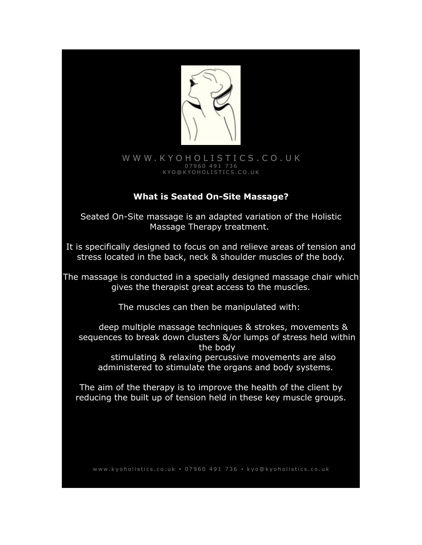

## [W W W . K Y O H O L I S T I C S . C O . U K](http://www.Kyoholistics.co.uk/) 0 7 9 6 0 4 9 1 7 3 6 [K Y O @ K Y O H O L I S T I C S . C O . U K](mailto:kyo@kyoholistics.co.uk)

# **What is Seated On-Site Massage?**

Seated On-Site massage is an adapted variation of the Holistic Massage Therapy treatment.

It is specifically designed to focus on and relieve areas of tension and stress located in the back, neck & shoulder muscles of the body.

The massage is conducted in a specially designed massage chair which gives the therapist great access to the muscles.

The muscles can then be manipulated with:

deep multiple massage techniques & strokes, movements & sequences to break down clusters &/or lumps of stress held within the body stimulating & relaxing percussive movements are also administered to stimulate the organs and body systems.

The aim of the therapy is to improve the health of the client by reducing the built up of tension held in these key muscle groups.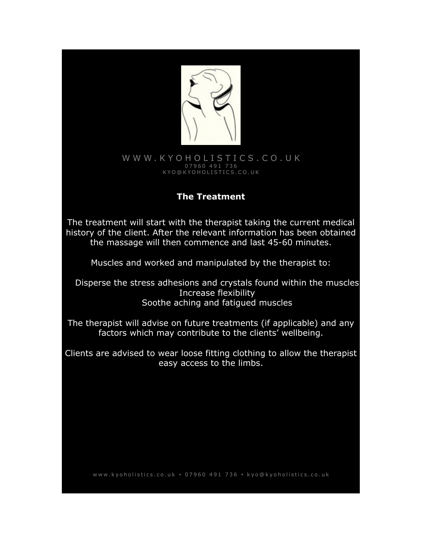

### W W W. K Y O H O L I S T I C S . C O . U K 0 7 9 6 0 4 9 1 7 3 6 [K Y O @ K Y O H O L I S T I C S . C O . U K](mailto:kyo@kyoholistics.co.uk)

# **The Treatment**

The treatment will start with the therapist taking the current medical history of the client. After the relevant information has been obtained the massage will then commence and last 45-60 minutes.

Muscles and worked and manipulated by the therapist to:

Disperse the stress adhesions and crystals found within the muscles Increase flexibility Soothe aching and fatigued muscles

The therapist will advise on future treatments (if applicable) and any factors which may contribute to the clients' wellbeing.

Clients are advised to wear loose fitting clothing to allow the therapist easy access to the limbs.